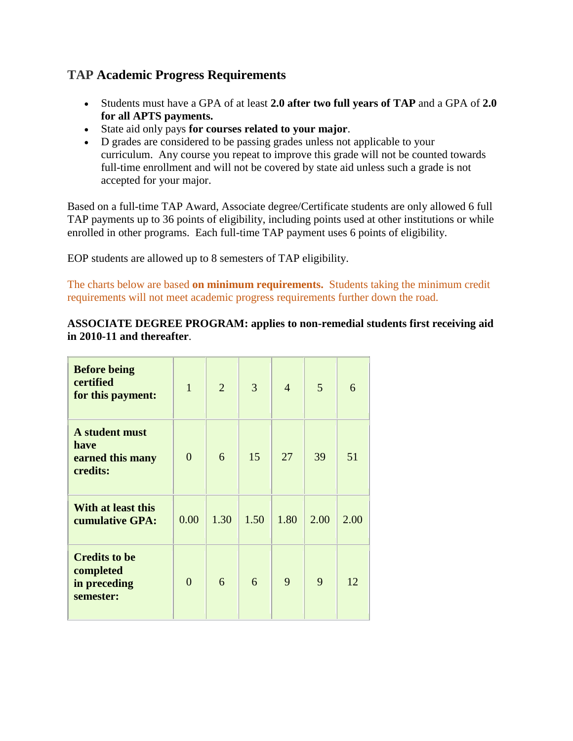## **TAP Academic Progress Requirements**

- Students must have a GPA of at least **2.0 after two full years of TAP** and a GPA of **2.0 for all APTS payments.**
- State aid only pays **for courses related to your major**.
- D grades are considered to be passing grades unless not applicable to your curriculum. Any course you repeat to improve this grade will not be counted towards full-time enrollment and will not be covered by state aid unless such a grade is not accepted for your major.

Based on a full-time TAP Award, Associate degree/Certificate students are only allowed 6 full TAP payments up to 36 points of eligibility, including points used at other institutions or while enrolled in other programs. Each full-time TAP payment uses 6 points of eligibility.

EOP students are allowed up to 8 semesters of TAP eligibility.

The charts below are based **on minimum requirements.** Students taking the minimum credit requirements will not meet academic progress requirements further down the road.

## **ASSOCIATE DEGREE PROGRAM: applies to non-remedial students first receiving aid in 2010-11 and thereafter**.

| <b>Before being</b><br>certified<br>for this payment:          | $\mathbf{1}$   | $\overline{2}$ | 3    | $\overline{4}$ | 5    | 6    |
|----------------------------------------------------------------|----------------|----------------|------|----------------|------|------|
| A student must<br>have<br>earned this many<br>credits:         | $\overline{0}$ | 6              | 15   | 27             | 39   | 51   |
| With at least this<br>cumulative GPA:                          | 0.00           | 1.30           | 1.50 | 1.80           | 2.00 | 2.00 |
| <b>Credits to be</b><br>completed<br>in preceding<br>semester: | $\theta$       | 6              | 6    | 9              | 9    | 12   |